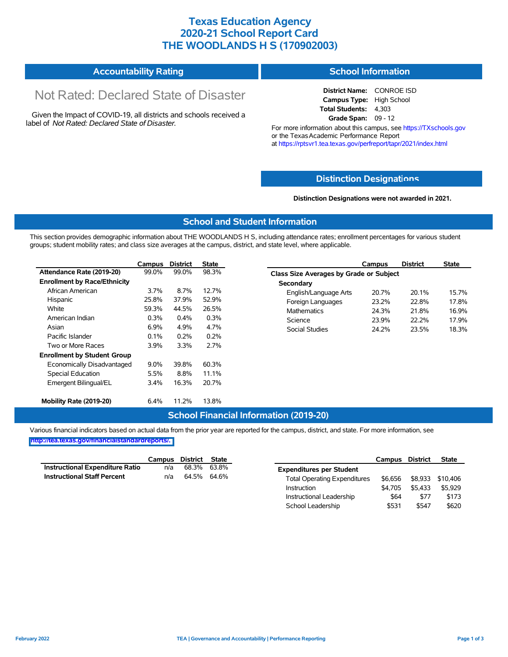### **Texas Education Agency 2020-21 School Report Card THE WOODLANDS H S (170902003)**

#### **Accountability Rating School Information**

# Not Rated: Declared State of Disaster

Given the Impact of COVID-19, all districts and schools received a label of *Not Rated: Declared State of Disaster.*

**District Name:** CONROE ISD **Campus Type:** High School **Total Students:** 4,303 **Grade Span:** 09 - 12

For more information about this campus, see https://TXschools.gov or the Texas Academic Performance Report at https://rptsvr1.tea.texas.gov/perfreport/tapr/2021/index.html

#### **Distinction Designat[ions](https://TXschools.gov)**

**Distinction Designations were not awarded in 2021.**

School Leadership  $$531$  \$547 \$620

#### **School and Student Information**

This section provides demographic information about THE WOODLANDS H S, including attendance rates; enrollment percentages for various student groups; student mobility rates; and class size averages at the campus, district, and state level, where applicable.

|                                     | Campus  | <b>District</b> | <b>State</b> | <b>District</b><br><b>State</b><br>Campus        |
|-------------------------------------|---------|-----------------|--------------|--------------------------------------------------|
| Attendance Rate (2019-20)           | 99.0%   | 99.0%           | 98.3%        | Class Size Averages by Grade or Subject          |
| <b>Enrollment by Race/Ethnicity</b> |         |                 |              | Secondary                                        |
| African American                    | 3.7%    | 8.7%            | 12.7%        | 20.7%<br>15.7%<br>English/Language Arts<br>20.1% |
| Hispanic                            | 25.8%   | 37.9%           | 52.9%        | 22.8%<br>17.8%<br>Foreign Languages<br>23.2%     |
| White                               | 59.3%   | 44.5%           | 26.5%        | <b>Mathematics</b><br>24.3%<br>16.9%<br>21.8%    |
| American Indian                     | 0.3%    | $0.4\%$         | 0.3%         | 17.9%<br>Science<br>23.9%<br>22.2%               |
| Asian                               | 6.9%    | 4.9%            | 4.7%         | Social Studies<br>24.2%<br>23.5%<br>18.3%        |
| Pacific Islander                    | 0.1%    | 0.2%            | 0.2%         |                                                  |
| Two or More Races                   | 3.9%    | 3.3%            | 2.7%         |                                                  |
| <b>Enrollment by Student Group</b>  |         |                 |              |                                                  |
| Economically Disadvantaged          | $9.0\%$ | 39.8%           | 60.3%        |                                                  |
| Special Education                   | 5.5%    | 8.8%            | 11.1%        |                                                  |
| Emergent Bilingual/EL               | 3.4%    | 16.3%           | 20.7%        |                                                  |
| Mobility Rate (2019-20)             | 6.4%    | 11.2%           | 13.8%        |                                                  |

#### **School Financial Information (2019-20)**

Various financial indicators based on actual data from the prior year are reported for the campus, district, and state. For more information, see

**[http://tea.texas.gov/financialstandardreports/.](http://tea.texas.gov/financialstandardreports/)**

|                                    | Campus | District State |             |                                     | Campus  | <b>District</b> | <b>State</b> |
|------------------------------------|--------|----------------|-------------|-------------------------------------|---------|-----------------|--------------|
| Instructional Expenditure Ratio    | n/a    |                | 68.3% 63.8% | <b>Expenditures per Student</b>     |         |                 |              |
| <b>Instructional Staff Percent</b> | n/a    | 64.5% 64.6%    |             | <b>Total Operating Expenditures</b> | \$6.656 | \$8,933         | \$10.406     |
|                                    |        |                |             | Instruction                         | \$4.705 | \$5.433         | \$5,929      |
|                                    |        |                |             | Instructional Leadership            | \$64    | \$77            | \$173        |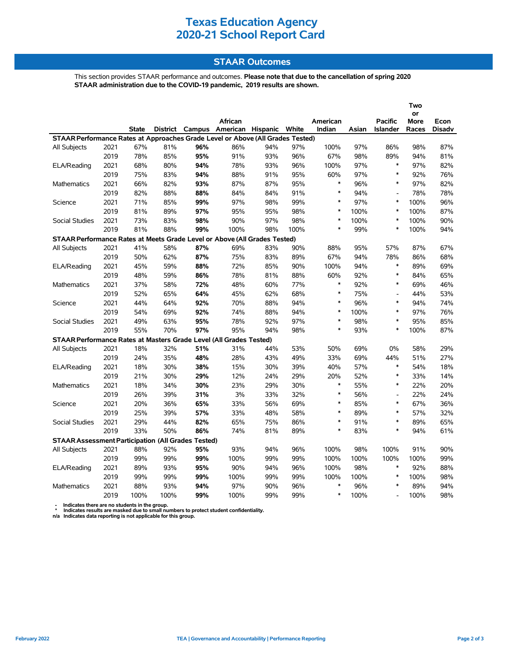### **Texas Education Agency 2020-21 School Report Card**

#### **STAAR Outcomes**

This section provides STAAR performance and outcomes. **Please note that due to the cancellation of spring 2020 STAAR administration due to the COVID-19 pandemic, 2019 results are shown.**

|                                                                                |      |              |      |                 |                   |     |       |          |       |                 | Two         |               |
|--------------------------------------------------------------------------------|------|--------------|------|-----------------|-------------------|-----|-------|----------|-------|-----------------|-------------|---------------|
|                                                                                |      |              |      |                 |                   |     |       |          |       |                 | or          |               |
|                                                                                |      |              |      |                 | African           |     |       | American |       | Pacific         | <b>More</b> | Econ          |
|                                                                                |      | <b>State</b> |      | District Campus | American Hispanic |     | White | Indian   | Asian | <b>Islander</b> | Races       | <b>Disadv</b> |
| STAAR Performance Rates at Approaches Grade Level or Above (All Grades Tested) |      |              |      |                 |                   |     |       |          |       |                 |             |               |
| All Subjects                                                                   | 2021 | 67%          | 81%  | 96%             | 86%               | 94% | 97%   | 100%     | 97%   | 86%             | 98%         | 87%           |
|                                                                                | 2019 | 78%          | 85%  | 95%             | 91%               | 93% | 96%   | 67%      | 98%   | 89%             | 94%         | 81%           |
| ELA/Reading                                                                    | 2021 | 68%          | 80%  | 94%             | 78%               | 93% | 96%   | 100%     | 97%   | $\ast$          | 97%         | 82%           |
|                                                                                | 2019 | 75%          | 83%  | 94%             | 88%               | 91% | 95%   | 60%      | 97%   | $\ast$          | 92%         | 76%           |
| Mathematics                                                                    | 2021 | 66%          | 82%  | 93%             | 87%               | 87% | 95%   | $\ast$   | 96%   | $\ast$          | 97%         | 82%           |
|                                                                                | 2019 | 82%          | 88%  | 88%             | 84%               | 84% | 91%   | $\ast$   | 94%   | $\overline{a}$  | 78%         | 78%           |
| Science                                                                        | 2021 | 71%          | 85%  | 99%             | 97%               | 98% | 99%   | $\ast$   | 97%   | $\ast$          | 100%        | 96%           |
|                                                                                | 2019 | 81%          | 89%  | 97%             | 95%               | 95% | 98%   | $\ast$   | 100%  | $\ast$          | 100%        | 87%           |
| Social Studies                                                                 | 2021 | 73%          | 83%  | 98%             | 90%               | 97% | 98%   | $\ast$   | 100%  | $\ast$          | 100%        | 90%           |
|                                                                                | 2019 | 81%          | 88%  | 99%             | 100%              | 98% | 100%  | *        | 99%   | $\ast$          | 100%        | 94%           |
| STAAR Performance Rates at Meets Grade Level or Above (All Grades Tested)      |      |              |      |                 |                   |     |       |          |       |                 |             |               |
| All Subjects                                                                   | 2021 | 41%          | 58%  | 87%             | 69%               | 83% | 90%   | 88%      | 95%   | 57%             | 87%         | 67%           |
|                                                                                | 2019 | 50%          | 62%  | 87%             | 75%               | 83% | 89%   | 67%      | 94%   | 78%             | 86%         | 68%           |
| ELA/Reading                                                                    | 2021 | 45%          | 59%  | 88%             | 72%               | 85% | 90%   | 100%     | 94%   | $\ast$          | 89%         | 69%           |
|                                                                                | 2019 | 48%          | 59%  | 86%             | 78%               | 81% | 88%   | 60%      | 92%   | $\ast$          | 84%         | 65%           |
| Mathematics                                                                    | 2021 | 37%          | 58%  | 72%             | 48%               | 60% | 77%   | $\ast$   | 92%   | $\ast$          | 69%         | 46%           |
|                                                                                | 2019 | 52%          | 65%  | 64%             | 45%               | 62% | 68%   | $\ast$   | 75%   | $\overline{a}$  | 44%         | 53%           |
| Science                                                                        | 2021 | 44%          | 64%  | 92%             | 70%               | 88% | 94%   | $\ast$   | 96%   | $\ast$          | 94%         | 74%           |
|                                                                                | 2019 | 54%          | 69%  | 92%             | 74%               | 88% | 94%   | $\ast$   | 100%  | $\ast$          | 97%         | 76%           |
| <b>Social Studies</b>                                                          | 2021 | 49%          | 63%  | 95%             | 78%               | 92% | 97%   | $\ast$   | 98%   | $\ast$          | 95%         | 85%           |
|                                                                                | 2019 | 55%          | 70%  | 97%             | 95%               | 94% | 98%   | $\ast$   | 93%   | $\ast$          | 100%        | 87%           |
| STAAR Performance Rates at Masters Grade Level (All Grades Tested)             |      |              |      |                 |                   |     |       |          |       |                 |             |               |
| All Subjects                                                                   | 2021 | 18%          | 32%  | 51%             | 31%               | 44% | 53%   | 50%      | 69%   | 0%              | 58%         | 29%           |
|                                                                                | 2019 | 24%          | 35%  | 48%             | 28%               | 43% | 49%   | 33%      | 69%   | 44%             | 51%         | 27%           |
| ELA/Reading                                                                    | 2021 | 18%          | 30%  | 38%             | 15%               | 30% | 39%   | 40%      | 57%   | $\ast$          | 54%         | 18%           |
|                                                                                | 2019 | 21%          | 30%  | 29%             | 12%               | 24% | 29%   | 20%      | 52%   | $\ast$          | 33%         | 14%           |
| Mathematics                                                                    | 2021 | 18%          | 34%  | 30%             | 23%               | 29% | 30%   | $\ast$   | 55%   | $\ast$          | 22%         | 20%           |
|                                                                                | 2019 | 26%          | 39%  | 31%             | 3%                | 33% | 32%   | $\ast$   | 56%   | $\overline{a}$  | 22%         | 24%           |
| Science                                                                        | 2021 | 20%          | 36%  | 65%             | 33%               | 56% | 69%   | $\ast$   | 85%   | $\ast$          | 67%         | 36%           |
|                                                                                | 2019 | 25%          | 39%  | 57%             | 33%               | 48% | 58%   | $\ast$   | 89%   | $\ast$          | 57%         | 32%           |
| <b>Social Studies</b>                                                          | 2021 | 29%          | 44%  | 82%             | 65%               | 75% | 86%   | $\ast$   | 91%   | $\ast$          | 89%         | 65%           |
|                                                                                | 2019 | 33%          | 50%  | 86%             | 74%               | 81% | 89%   | $\ast$   | 83%   | $\ast$          | 94%         | 61%           |
| <b>STAAR Assessment Participation (All Grades Tested)</b>                      |      |              |      |                 |                   |     |       |          |       |                 |             |               |
| All Subjects                                                                   | 2021 | 88%          | 92%  | 95%             | 93%               | 94% | 96%   | 100%     | 98%   | 100%            | 91%         | 90%           |
|                                                                                | 2019 | 99%          | 99%  | 99%             | 100%              | 99% | 99%   | 100%     | 100%  | 100%            | 100%        | 99%           |
| ELA/Reading                                                                    | 2021 | 89%          | 93%  | 95%             | 90%               | 94% | 96%   | 100%     | 98%   | $\ast$          | 92%         | 88%           |
|                                                                                | 2019 | 99%          | 99%  | 99%             | 100%              | 99% | 99%   | 100%     | 100%  | $\ast$          | 100%        | 98%           |
| <b>Mathematics</b>                                                             | 2021 | 88%          | 93%  | 94%             | 97%               | 90% | 96%   | $\ast$   | 96%   | $\ast$          | 89%         | 94%           |
|                                                                                | 2019 | 100%         | 100% | 99%             | 100%              | 99% | 99%   | $\ast$   | 100%  |                 | 100%        | 98%           |
|                                                                                |      |              |      |                 |                   |     |       |          |       |                 |             |               |

 **- Indicates there are no students in the group. \* Indicates results are masked due to small numbers to protect student confidentiality.**

**n/a Indicates data reporting is not applicable for this group.**